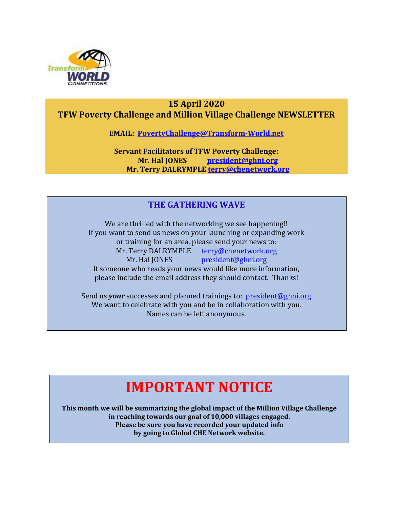

### **15 April 2020 TFW Poverty Challenge and Million Village Challenge NEWSLETTER**

**EMAIL: [PovertyChallenge@Transform-World.net](mailto:PovertyChallenge@Transform-World.net)**

**Servant Facilitators of TFW Poverty Challenge: Mr. Hal JONES [president@ghni.org](mailto:president@ghni.org) Mr. Terry DALRYMPLE [terry@chenetwork.org](mailto:terry@chenetwork.org)**

### **THE GATHERING WAVE**

We are thrilled with the networking we see happening!! If you want to send us news on your launching or expanding work or training for an area, please send your news to: Mr. Terry DALRYMPLE [terry@chenetwork.org](mailto:terry@chenetwork.org) Mr. Hal JONES [president@ghni.org](mailto:president@ghni.org) If someone who reads your news would like more information, please include the email address they should contact. Thanks!

Send us *your* successes and planned trainings to: [president@ghni.org](mailto:president@ghni.org) We want to celebrate with you and be in collaboration with you. Names can be left anonymous.

# **IMPORTANT NOTICE**

**This month we will be summarizing the global impact of the Million Village Challenge in reaching towards our goal of 10,000 villages engaged. Please be sure you have recorded your updated info by going to Global CHE Network website.**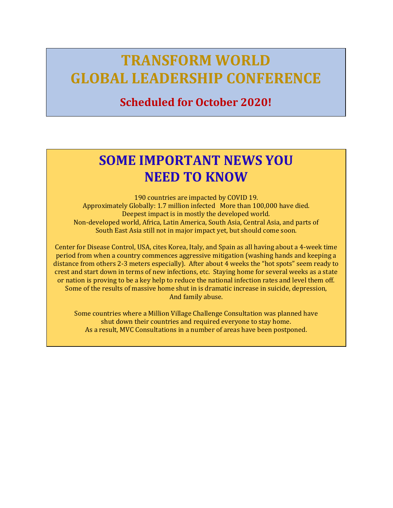# **TRANSFORM WORLD GLOBAL LEADERSHIP CONFERENCE**

# **Scheduled for October 2020!**

# **SOME IMPORTANT NEWS YOU NEED TO KNOW**

190 countries are impacted by COVID 19. Approximately Globally: 1.7 million infected More than 100,000 have died. Deepest impact is in mostly the developed world. Non-developed world, Africa, Latin America, South Asia, Central Asia, and parts of South East Asia still not in major impact yet, but should come soon.

Center for Disease Control, USA, cites Korea, Italy, and Spain as all having about a 4-week time period from when a country commences aggressive mitigation (washing hands and keeping a distance from others 2-3 meters especially). After about 4 weeks the "hot spots" seem ready to crest and start down in terms of new infections, etc. Staying home for several weeks as a state or nation is proving to be a key help to reduce the national infection rates and level them off. Some of the results of massive home shut in is dramatic increase in suicide, depression, And family abuse.

Some countries where a Million Village Challenge Consultation was planned have shut down their countries and required everyone to stay home. As a result, MVC Consultations in a number of areas have been postponed.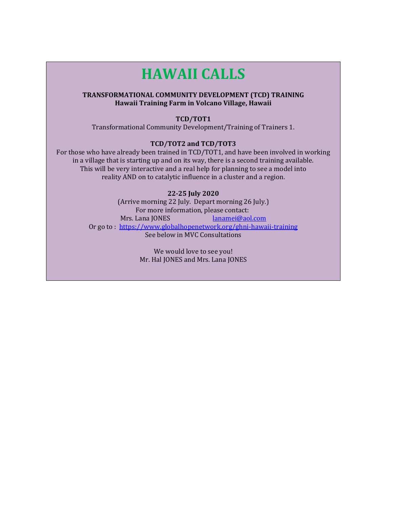# **HAWAII CALLS**

#### **TRANSFORMATIONAL COMMUNITY DEVELOPMENT (TCD) TRAINING Hawaii Training Farm in Volcano Village, Hawaii**

#### **TCD/TOT1**

Transformational Community Development/Training of Trainers 1.

#### **TCD/TOT2 and TCD/TOT3**

For those who have already been trained in TCD/TOT1, and have been involved in working in a village that is starting up and on its way, there is a second training available. This will be very interactive and a real help for planning to see a model into reality AND on to catalytic influence in a cluster and a region.

#### **22-25 July 2020**

(Arrive morning 22 July. Depart morning 26 July.) For more information, please contact: Mrs. Lana JONES [lanamei@aol.com](mailto:lanamei@aol.com) Or go to : <https://www.globalhopenetwork.org/ghni-hawaii-training> See below in MVC Consultations

> We would love to see you! Mr. Hal JONES and Mrs. Lana JONES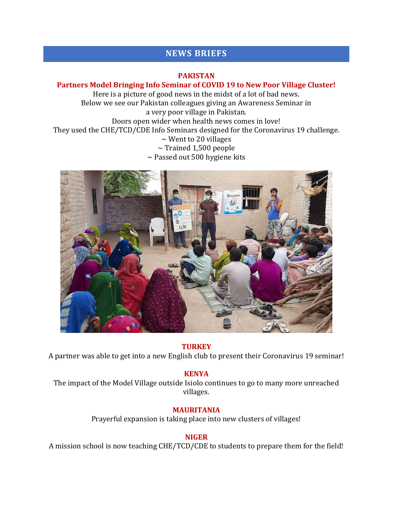# **NEWS BRIEFS**

#### **PAKISTAN**

#### **Partners Model Bringing Info Seminar of COVID 19 to New Poor Village Cluster!**

Here is a picture of good news in the midst of a lot of bad news. Below we see our Pakistan colleagues giving an Awareness Seminar in a very poor village in Pakistan. Doors open wider when health news comes in love! They used the CHE/TCD/CDE Info Seminars designed for the Coronavirus 19 challenge.  $\sim$  Went to 20 villages  $\sim$  Trained 1,500 people  $\sim$  Passed out 500 hygiene kits



#### **TURKEY**

A partner was able to get into a new English club to present their Coronavirus 19 seminar!

#### **KENYA**

The impact of the Model Village outside Isiolo continues to go to many more unreached villages.

#### **MAURITANIA**

Prayerful expansion is taking place into new clusters of villages!

#### **NIGER**

A mission school is now teaching CHE/TCD/CDE to students to prepare them for the field!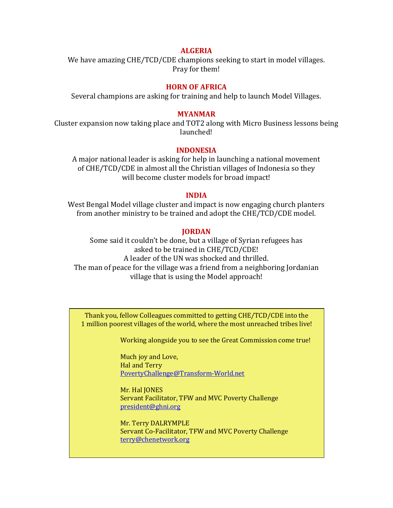#### **ALGERIA**

We have amazing CHE/TCD/CDE champions seeking to start in model villages. Pray for them!

#### **HORN OF AFRICA**

Several champions are asking for training and help to launch Model Villages.

#### **MYANMAR**

Cluster expansion now taking place and TOT2 along with Micro Business lessons being launched!

#### **INDONESIA**

A major national leader is asking for help in launching a national movement of CHE/TCD/CDE in almost all the Christian villages of Indonesia so they will become cluster models for broad impact!

#### **INDIA**

West Bengal Model village cluster and impact is now engaging church planters from another ministry to be trained and adopt the CHE/TCD/CDE model.

#### **JORDAN**

Some said it couldn't be done, but a village of Syrian refugees has asked to be trained in CHE/TCD/CDE! A leader of the UN was shocked and thrilled. The man of peace for the village was a friend from a neighboring Jordanian village that is using the Model approach!

Thank you, fellow Colleagues committed to getting CHE/TCD/CDE into the 1 million poorest villages of the world, where the most unreached tribes live!

Working alongside you to see the Great Commission come true!

Much joy and Love, Hal and Terry PovertyChallenge@Transform-World.net

Mr. Hal JONES Servant Facilitator, TFW and MVC Poverty Challenge [president@ghni.org](mailto:president@ghni.org)

Mr. Terry DALRYMPLE Servant Co-Facilitator, TFW and MVC Poverty Challenge [terry@chenetwork.org](mailto:terry@chenetwork.org)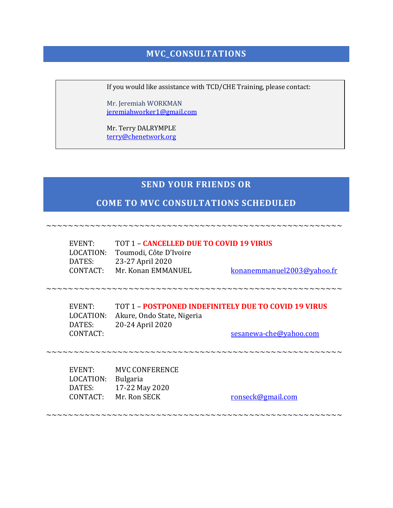# **MVC\_CONSULTATIONS**

If you would like assistance with TCD/CHE Training, please contact:

Mr. Jeremiah WORKMAN [jeremiahworker1@gmail.com](mailto:jeremiahworker1@gmail.com)

Mr. Terry DALRYMPLE [terry@chenetwork.org](mailto:terry@chenetwork.org)

### **SEND YOUR FRIENDS OR**

### **COME TO MVC CONSULTATIONS SCHEDULED**

~~~~~~~~~~~~~~~~~~~~~~~~~~~~~~~~~~~~~~~~~~~~~~~~~~~~~~

EVENT: TOT 1 – **CANCELLED DUE TO COVID 19 VIRUS** LOCATION: Toumodi, Côte D'Ivoire DATES: 23-27 April 2020 CONTACT: Mr. Konan EMMANUEL [konanemmanuel2003@yahoo.fr](mailto:konanemmanuel2003@yahoo.fr)

~~~~~~~~~~~~~~~~~~~~~~~~~~~~~~~~~~~~~~~~~~~~~~~~~~~~~~

EVENT: TOT 1 – **POSTPONED INDEFINITELY DUE TO COVID 19 VIRUS** LOCATION: Akure, Ondo State, Nigeria DATES: 20-24 April 2020 CONTACT: [sesanewa-che@yahoo.com](mailto:sesanewa-che@yahoo.com)

~~~~~~~~~~~~~~~~~~~~~~~~~~~~~~~~~~~~~~~~~~~~~~~~~~~~~~

EVENT: MVC CONFERENCE LOCATION: Bulgaria DATES: 17-22 May 2020

CONTACT: Mr. Ron SECK [ronseck@gmail.com](mailto:ronseck@gmail.com)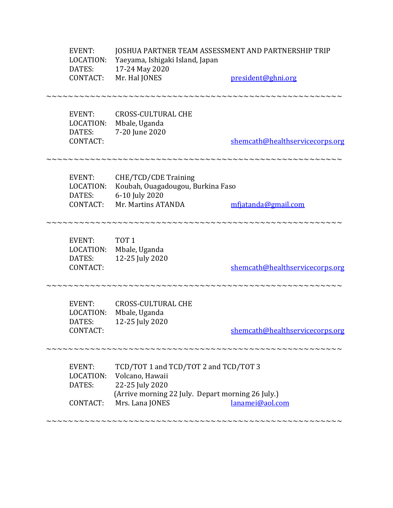| EVENT:<br>LOCATION:<br>DATES:<br><b>CONTACT:</b> | JOSHUA PARTNER TEAM ASSESSMENT AND PARTNERSHIP TRIP<br>Yaeyama, Ishigaki Island, Japan<br>17-24 May 2020<br>Mr. Hal JONES                           | president@ghni.org              |
|--------------------------------------------------|-----------------------------------------------------------------------------------------------------------------------------------------------------|---------------------------------|
| <b>EVENT:</b><br>LOCATION:<br>DATES:<br>CONTACT: | <b>CROSS-CULTURAL CHE</b><br>Mbale, Uganda<br>7-20 June 2020                                                                                        | shemcath@healthservicecorps.org |
| EVENT:<br>LOCATION:<br>DATES:<br>CONTACT:        | CHE/TCD/CDE Training<br>Koubah, Ouagadougou, Burkina Faso<br>6-10 July 2020<br>Mr. Martins ATANDA                                                   | mfjatanda@gmail.com             |
| EVENT:<br>LOCATION:<br>DATES:<br>CONTACT:        | TOT <sub>1</sub><br>Mbale, Uganda<br>12-25 July 2020                                                                                                | shemcath@healthservicecorps.org |
| <b>EVENT:</b><br>LOCATION:<br>DATES:<br>CONTACT: | <b>CROSS-CULTURAL CHE</b><br>Mbale, Uganda<br>12-25 July 2020                                                                                       | shemcath@healthservicecorps.org |
| EVENT:<br>LOCATION:<br>DATES:<br>CONTACT:        | TCD/TOT 1 and TCD/TOT 2 and TCD/TOT 3<br>Volcano, Hawaii<br>22-25 July 2020<br>(Arrive morning 22 July. Depart morning 26 July.)<br>Mrs. Lana JONES | lanamei@aol.com                 |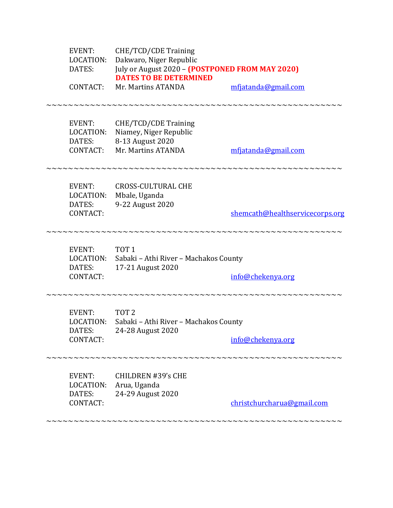| <b>EVENT:</b><br>LOCATION:<br>DATES:<br>CONTACT: | CHE/TCD/CDE Training<br>Dakwaro, Niger Republic<br>July or August 2020 - (POSTPONED FROM MAY 2020)<br><b>DATES TO BE DETERMINED</b><br>Mr. Martins ATANDA | mfjatanda@gmail.com             |
|--------------------------------------------------|-----------------------------------------------------------------------------------------------------------------------------------------------------------|---------------------------------|
| <b>EVENT:</b><br>LOCATION:<br>DATES:<br>CONTACT: | CHE/TCD/CDE Training<br>Niamey, Niger Republic<br>8-13 August 2020<br>Mr. Martins ATANDA                                                                  | mfjatanda@gmail.com             |
| <b>EVENT:</b><br>LOCATION:<br>DATES:<br>CONTACT: | <b>CROSS-CULTURAL CHE</b><br>Mbale, Uganda<br>9-22 August 2020                                                                                            | shemcath@healthservicecorps.org |
| EVENT:<br>DATES:<br>CONTACT:                     | TOT <sub>1</sub><br>LOCATION: Sabaki - Athi River - Machakos County<br>17-21 August 2020                                                                  | info@chekenya.org               |
| <b>EVENT:</b><br>LOCATION:<br>DATES:<br>CONTACT: | TOT <sub>2</sub><br>Sabaki - Athi River - Machakos County<br>24-28 August 2020                                                                            | info@chekenya.org               |
| EVENT:<br>LOCATION:<br>DATES:<br>CONTACT:        | <b>CHILDREN #39's CHE</b><br>Arua, Uganda<br>24-29 August 2020                                                                                            | christchurcharua@gmail.com      |